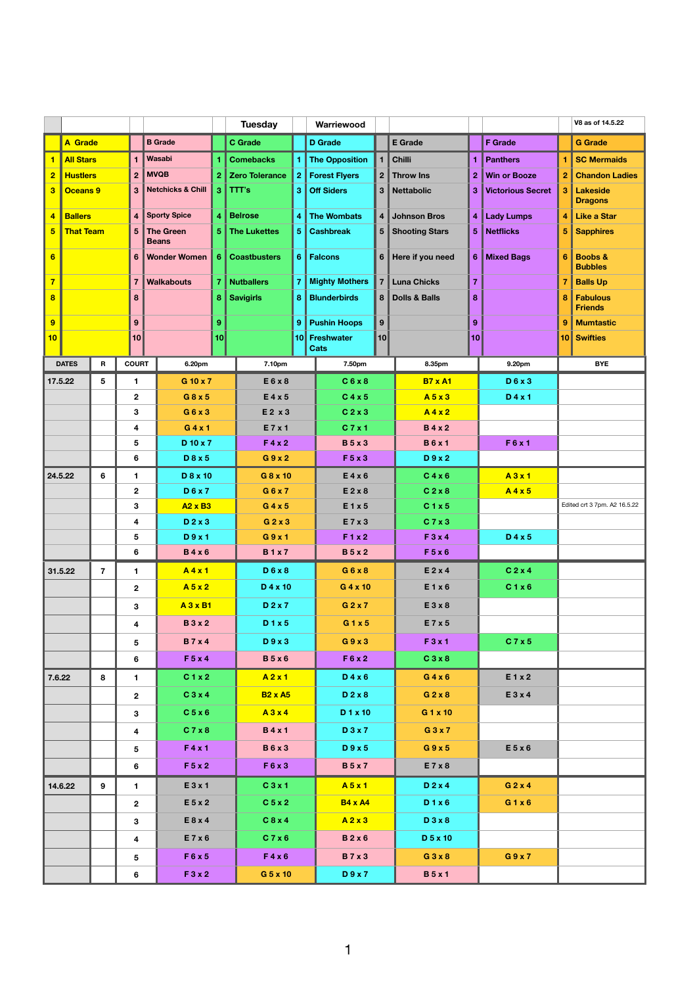|                         |                      |                               |                                     |                                   |                                  | <b>Tuesday</b>        |                        |                       | Warriewood                   |                    | V8 as of 14.5.22                           |                          |                   |                                   |                                      |  |
|-------------------------|----------------------|-------------------------------|-------------------------------------|-----------------------------------|----------------------------------|-----------------------|------------------------|-----------------------|------------------------------|--------------------|--------------------------------------------|--------------------------|-------------------|-----------------------------------|--------------------------------------|--|
|                         | <b>A Grade</b>       |                               |                                     |                                   | <b>B</b> Grade                   |                       | <b>C</b> Grade         |                       | <b>D</b> Grade               |                    | <b>E</b> Grade                             |                          | <b>F</b> Grade    |                                   | <b>G</b> Grade                       |  |
|                         | <b>All Stars</b>     |                               | 1                                   |                                   | Wasabi                           |                       | <b>Comebacks</b>       |                       | <b>The Opposition</b>        | 1 <sup>1</sup>     | <b>Chilli</b>                              | 1                        | <b>Panthers</b>   |                                   | <b>SC Mermaids</b>                   |  |
| $\overline{2}$          | <b>Hustlers</b>      | <b>MVQB</b><br>$\overline{2}$ |                                     |                                   |                                  | <b>Zero Tolerance</b> |                        | <b>Forest Flyers</b>  |                              | 2 Throw Ins        | $\overline{2}$                             | <b>Win or Booze</b>      | $\boldsymbol{2}$  | <b>Chandon Ladies</b>             |                                      |  |
| $\overline{\mathbf{3}}$ | 3<br><b>Oceans 9</b> |                               |                                     | <b>Netchicks &amp; Chill</b><br>3 |                                  | $ $ TTT's             | <b>Off Siders</b><br>3 |                       |                              | 3 Nettabolic       | 3                                          | <b>Victorious Secret</b> | 3                 | <b>Lakeside</b><br><b>Dragons</b> |                                      |  |
| $\overline{4}$          | <b>Ballers</b>       |                               | $\overline{\mathbf{4}}$             |                                   | <b>Sporty Spice</b>              | 4                     | <b>Belrose</b>         |                       | <b>The Wombats</b>           |                    | 4 Johnson Bros                             | $\overline{\mathbf{4}}$  | <b>Lady Lumps</b> | $\overline{4}$                    | <b>Like a Star</b>                   |  |
| $5\overline{)}$         | <b>That Team</b>     |                               | $5\phantom{1}$                      |                                   | <b>The Green</b><br><b>Beans</b> | 5.                    | <b>The Lukettes</b>    |                       | <b>Cashbreak</b>             |                    | 5 Shooting Stars                           | $5\phantom{.0}$          | <b>Netflicks</b>  | $\overline{5}$                    | <b>Sapphires</b>                     |  |
| $6\phantom{1}6$         |                      |                               | 6                                   |                                   | <b>Wonder Women</b>              |                       | <b>Coastbusters</b>    |                       | <b>Falcons</b>               |                    | 6 Here if you need                         | $6\phantom{1}6$          | <b>Mixed Bags</b> | $6\phantom{1}6$                   | <b>Boobs &amp;</b><br><b>Bubbles</b> |  |
| $\overline{7}$          |                      |                               | $\overline{7}$<br><b>Walkabouts</b> |                                   |                                  | <b>Nutballers</b>     |                        | <b>Mighty Mothers</b> |                              | <b>Luna Chicks</b> | $\overline{7}$                             |                          |                   | <b>Balls Up</b>                   |                                      |  |
| $\overline{\mathbf{8}}$ |                      |                               | 8                                   |                                   |                                  |                       | <b>Savigirls</b>       |                       | <b>Blunderbirds</b>          |                    | <b>Dolls &amp; Balls</b><br>8 <sup>1</sup> | 8                        |                   | 8                                 | <b>Fabulous</b><br><b>Friends</b>    |  |
| 9                       |                      |                               | 9                                   |                                   |                                  |                       |                        | 9                     | <b>Pushin Hoops</b>          | 9                  |                                            | 9                        |                   | -9                                | <b>Mumtastic</b>                     |  |
| 10                      |                      |                               | 10                                  |                                   |                                  | 10                    |                        |                       | 10 Freshwater<br><b>Cats</b> | 10                 |                                            | 10                       |                   |                                   | <b>10 Swifties</b>                   |  |
|                         | <b>DATES</b>         | R                             | <b>COURT</b>                        |                                   | 6.20pm                           |                       | 7.10pm                 |                       | 7.50pm                       |                    | 8.35pm                                     |                          | 9.20pm            |                                   | <b>BYE</b>                           |  |
|                         | 17.5.22              | 5                             | 1                                   |                                   | G 10 x 7                         |                       | E6x8                   |                       | C6x8                         |                    | <b>B7 x A1</b>                             |                          | D6x3              |                                   |                                      |  |
|                         |                      |                               | $\mathbf{2}$                        |                                   | $G$ 8 x 5                        |                       | $E4 \times 5$          |                       | C4x5                         |                    | A5x3                                       |                          | $D$ 4 x 1         |                                   |                                      |  |
|                         |                      |                               | 3                                   |                                   | G6x3                             |                       | $E2 \times 3$          |                       | C <sub>2</sub> x 3           |                    | A4x2                                       |                          |                   |                                   |                                      |  |
|                         |                      |                               | 4                                   | G4x1                              |                                  |                       | E 7 x 1                |                       | C 7 x 1                      |                    | <b>B</b> 4 x 2                             |                          |                   |                                   |                                      |  |
|                         |                      |                               | 5                                   |                                   | D 10 x 7                         |                       | F 4 x 2                |                       | <b>B</b> 5 x 3               |                    | <b>B6x1</b>                                |                          | F 6 x 1           |                                   |                                      |  |
|                         |                      |                               | 6                                   |                                   | D8x5                             |                       | G9x2                   |                       | F 5 x 3                      |                    | D9x2                                       |                          |                   |                                   |                                      |  |
|                         | 24.5.22<br>6         |                               | $\mathbf 1$                         |                                   | D 8 x 10                         |                       | G 8 x 10               |                       | E4x6                         |                    | C4x6                                       |                          | A3x1              | A4x5                              |                                      |  |
|                         |                      |                               | $\mathbf{2}$<br>$3\phantom{.0}$     |                                   | <b>D6x7</b><br>$A2 \times B3$    |                       | G6x7<br>$G$ 4 x 5      |                       | $E$ 2 x 8<br>E1x5            |                    | C2x8<br>C1x5                               |                          |                   |                                   | Edited crt 3 7pm. A2 16.5.22         |  |
|                         |                      |                               | $\overline{\mathbf{4}}$             |                                   | $D$ 2 x 3                        |                       | $G$ 2 x 3              |                       | E 7 x 3                      |                    | C7x3                                       |                          |                   |                                   |                                      |  |
|                         |                      |                               | $5\overline{)}$                     |                                   | D9x1                             |                       | G9x1                   |                       | F1x2                         |                    | F3x4                                       |                          | $D$ 4 x 5         |                                   |                                      |  |
|                         |                      |                               | 6                                   |                                   | <b>B4x6</b>                      |                       | <b>B1x7</b>            |                       | <b>B</b> 5 x 2               |                    | F 5 x 6                                    |                          |                   |                                   |                                      |  |
|                         | 31.5.22              | $\overline{7}$                | $\mathbf 1$                         |                                   | A4x1                             |                       | D6x8                   |                       | G6x8                         |                    | $E$ 2 x 4                                  |                          | C 2 x 4           |                                   |                                      |  |
|                         |                      |                               | $\mathbf{2}$                        |                                   | A5x2                             |                       | $D$ 4 x 10             |                       | $G$ 4 x 10                   |                    | E1x6                                       |                          | C1x6              |                                   |                                      |  |
|                         |                      |                               | $3\phantom{.0}$                     |                                   | A 3 x B1                         |                       | D 2 x 7                |                       | $G$ 2 x 7                    |                    | E3x8                                       |                          |                   |                                   |                                      |  |
|                         |                      |                               | $\overline{\mathbf{4}}$             |                                   |                                  | <b>B</b> 3 x 2        |                        | D1x5                  | G1x5                         |                    | E 7 x 5                                    |                          |                   |                                   |                                      |  |
|                         |                      |                               |                                     | <b>B</b> 7 x 4<br>5               |                                  | D9x3                  |                        |                       | G9x3                         |                    | F 3 x 1                                    |                          | C7x5              |                                   |                                      |  |
|                         |                      |                               | 6                                   |                                   | F 5 x 4                          |                       | B5x6                   |                       | F 6 x 2                      |                    | C3x8                                       |                          |                   |                                   |                                      |  |
| 7.6.22                  |                      | 8                             | $\mathbf{1}$                        | C1x2                              |                                  |                       | A2x1                   |                       | D 4 x 6                      |                    | G4x6                                       |                          | E 1 x 2           |                                   |                                      |  |
|                         |                      |                               | C3x4<br>$\mathbf{2}$                |                                   |                                  | <b>B2 x A5</b>        |                        | D 2 x 8               |                              | $G$ 2 x 8          |                                            | E3x4                     |                   |                                   |                                      |  |
|                         |                      |                               | 3 <sup>1</sup>                      |                                   | C 5 x 6                          |                       | A3x4                   |                       | D 1 x 10                     |                    | $G1 \times 10$                             |                          |                   |                                   |                                      |  |
|                         |                      |                               | $\overline{\mathbf{4}}$             |                                   | C7x8                             |                       | <b>B</b> 4 x 1         |                       | D3x7                         |                    | G3x7                                       |                          |                   |                                   |                                      |  |
|                         |                      |                               | 5                                   |                                   | F 4 x 1                          | <b>B6x3</b>           |                        | D9x5                  |                              |                    | G9x5                                       |                          | E 5 x 6           |                                   |                                      |  |
|                         |                      |                               | 6                                   |                                   | F 5 x 2                          |                       | F6x3                   |                       | <b>B</b> 5 x 7               |                    | E7x8                                       |                          |                   |                                   |                                      |  |
|                         | 14.6.22<br>9         |                               | $\mathbf{1}$                        |                                   | E 3 x 1                          |                       | C3x1                   |                       | A5x1                         |                    | $D$ 2 x 4                                  |                          | $G$ 2 x 4         |                                   |                                      |  |
|                         |                      |                               | $\mathbf{2}$                        |                                   | $E$ 5 x 2                        |                       | C <sub>5</sub> x 2     |                       | <b>B4 x A4</b>               |                    | D1x6                                       |                          | G1x6              |                                   |                                      |  |
|                         |                      |                               | $3\phantom{a}$                      |                                   | E8x4                             |                       | C8x4                   |                       | A2x3                         |                    | D3x8                                       |                          |                   |                                   |                                      |  |
|                         |                      |                               | 4                                   |                                   | E7 x 6                           |                       | C7x6                   |                       | B 2 x 6                      |                    | D 5 x 10                                   |                          |                   |                                   |                                      |  |
|                         |                      |                               | $5\phantom{.0}$                     |                                   | F 6 x 5                          |                       | F4x6                   |                       | <b>B7x3</b>                  |                    | G3x8                                       |                          | G9x7              |                                   |                                      |  |
|                         |                      |                               | 6                                   |                                   | F3x2                             |                       | G 5 x 10               |                       | D9x7                         |                    | <b>B</b> 5 x 1                             |                          |                   |                                   |                                      |  |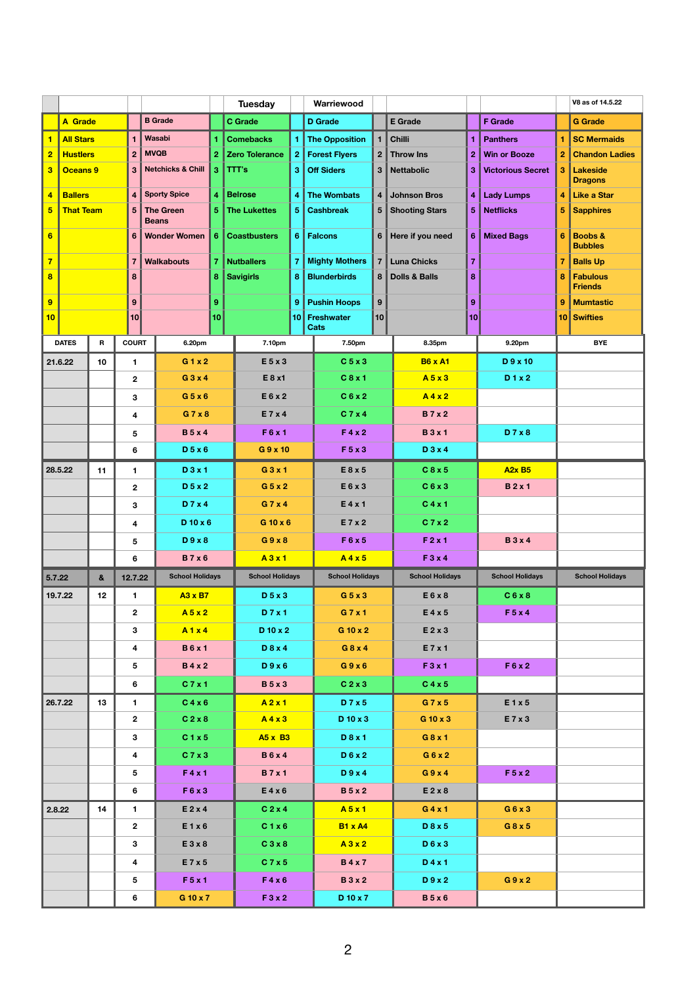|                         |                             |                                                                   |                                     |                         |                        |                       | <b>Tuesday</b>                 | Warriewood            |                      |                               |                          |                     |                                   | V8 as of 14.5.22      |                                      |  |
|-------------------------|-----------------------------|-------------------------------------------------------------------|-------------------------------------|-------------------------|------------------------|-----------------------|--------------------------------|-----------------------|----------------------|-------------------------------|--------------------------|---------------------|-----------------------------------|-----------------------|--------------------------------------|--|
|                         | <b>A</b> Grade              |                                                                   |                                     |                         | <b>B</b> Grade         |                       | <b>C</b> Grade                 | <b>D</b> Grade        |                      |                               | <b>E</b> Grade           |                     | <b>F</b> Grade                    |                       | <b>G</b> Grade                       |  |
|                         | <b>All Stars</b>            | Wasabi<br>$\blacksquare$                                          |                                     |                         | <b>Comebacks</b>       |                       | <b>The Opposition</b>          |                       | <b>Chilli</b>        | 1                             | <b>Panthers</b>          | 1                   | <b>SC Mermaids</b>                |                       |                                      |  |
| $\overline{2}$          | <b>Hustlers</b>             |                                                                   | <b>MVQB</b><br>$\overline{2}$       |                         |                        | <b>Zero Tolerance</b> | $\boldsymbol{2}$               | <b>Forest Flyers</b>  |                      | 2 Throw Ins                   | $\overline{2}$           | <b>Win or Booze</b> | $\overline{2}$                    | <b>Chandon Ladies</b> |                                      |  |
| $\overline{\mathbf{3}}$ |                             | <b>Netchicks &amp; Chill</b><br>$\overline{3}$<br><b>Oceans 9</b> |                                     | 3                       | TTT's                  | 3                     | <b>Off Siders</b>              |                       | 3 Nettabolic         | 3                             | <b>Victorious Secret</b> | $\overline{3}$      | <b>Lakeside</b><br><b>Dragons</b> |                       |                                      |  |
| $\overline{\mathbf{4}}$ | <b>Ballers</b>              |                                                                   | $\overline{4}$                      |                         | <b>Sporty Spice</b>    |                       | <b>Belrose</b>                 |                       | <b>The Wombats</b>   |                               | 4 Johnson Bros           | $\overline{4}$      | <b>Lady Lumps</b>                 | 4                     | <b>Like a Star</b>                   |  |
| $5\overline{)}$         | <b>That Team</b>            |                                                                   | $5\phantom{1}$                      |                         | <b>The Green</b>       | 5                     | <b>The Lukettes</b>            |                       | <b>Cashbreak</b>     |                               | 5 Shooting Stars         | 5                   | <b>Netflicks</b>                  | 5                     | <b>Sapphires</b>                     |  |
|                         |                             |                                                                   |                                     |                         | <b>Beans</b>           |                       |                                |                       |                      |                               |                          |                     |                                   |                       |                                      |  |
| $6\phantom{1}$          |                             |                                                                   | $6\phantom{1}6$                     |                         | <b>Wonder Women</b>    | 6                     | <b>Coastbusters</b>            |                       | <b>Falcons</b>       |                               | 6 Here if you need       | $6\phantom{1}6$     | <b>Mixed Bags</b>                 | $6\phantom{1}6$       | <b>Boobs &amp;</b><br><b>Bubbles</b> |  |
| $\overline{7}$          |                             |                                                                   | $\overline{7}$<br><b>Walkabouts</b> |                         |                        | <b>Nutballers</b>     |                                | <b>Mighty Mothers</b> |                      | 7 Luna Chicks                 | $\overline{7}$           |                     | $\overline{7}$                    | <b>Balls Up</b>       |                                      |  |
| $\overline{\mathbf{8}}$ |                             |                                                                   |                                     | 8                       |                        | 8                     | <b>Savigirls</b>               |                       | <b>Blunderbirds</b>  |                               | 8 Dolls & Balls          | 8                   |                                   | 8                     | <b>Fabulous</b><br><b>Friends</b>    |  |
|                         | 9                           |                                                                   | 9                                   |                         |                        |                       |                                |                       | <b>Pushin Hoops</b>  | 9                             |                          | 9                   |                                   | 9                     | <b>Mumtastic</b>                     |  |
| 10                      |                             |                                                                   | 10                                  |                         |                        | 10                    |                                | 9<br>10               | Freshwater           | 10                            |                          | 10                  |                                   |                       | 10 Swifties                          |  |
|                         |                             |                                                                   |                                     |                         |                        |                       |                                |                       | <b>Cats</b>          |                               | 8.35pm                   |                     |                                   |                       |                                      |  |
|                         | <b>DATES</b><br>$\mathbf R$ |                                                                   | <b>COURT</b>                        |                         | 6.20pm                 |                       | 7.10pm                         |                       | 7.50pm               |                               |                          |                     | 9.20pm                            |                       | <b>BYE</b>                           |  |
|                         | 21.6.22                     | 10                                                                | 1                                   |                         |                        | G1x2                  |                                | $E$ 5 x 3             |                      | C <sub>5</sub> x <sub>3</sub> |                          |                     | $D$ 9 x 10                        |                       |                                      |  |
|                         |                             |                                                                   | $\mathbf{2}$                        |                         | $G_3 \times 4$         |                       | E 8 x1                         |                       | C8x1                 |                               | A5x3                     |                     | D1x2                              |                       |                                      |  |
|                         |                             |                                                                   | 3                                   |                         | $G$ 5 x 6              |                       | E6x2                           |                       | C6x2                 |                               | A4x2                     |                     |                                   |                       |                                      |  |
|                         |                             |                                                                   | 4                                   |                         | G7x8                   |                       | E 7 x 4                        |                       | C7x4                 |                               | <b>B</b> 7 x 2           |                     |                                   |                       |                                      |  |
|                         |                             |                                                                   | <b>B</b> 5 x 4<br>$5\phantom{.0}$   |                         |                        | F6x1                  |                                | F4x2                  |                      | <b>B</b> 3 x 1                |                          | D7x8                |                                   |                       |                                      |  |
|                         |                             |                                                                   | 6                                   |                         | D 5 x 6                |                       | $G$ 9 x 10                     |                       | F 5 x 3              |                               | D 3 x 4<br>C8x5          |                     |                                   |                       |                                      |  |
|                         | 28.5.22                     | 11                                                                | $\blacksquare$                      |                         | $D$ 3 x 1              |                       |                                | $G$ 3 x 1             |                      | E 8 x 5                       |                          |                     | <b>A2x B5</b>                     |                       |                                      |  |
|                         |                             |                                                                   | D 5 x 2<br>2 <sup>1</sup>           |                         |                        | $G$ 5 x 2             |                                | E6x3                  |                      | C6x3                          |                          | <b>B2x1</b>         |                                   |                       |                                      |  |
|                         |                             |                                                                   | D 7 x 4<br>$\mathbf{3}$             |                         |                        | G7x4                  |                                | E4x1<br>E 7 x 2       |                      | C4x1                          |                          |                     |                                   |                       |                                      |  |
|                         |                             |                                                                   | 4                                   |                         | $D$ 10 x 6             |                       | $G$ 10 x 6                     |                       |                      |                               | C 7 x 2                  |                     |                                   |                       |                                      |  |
|                         |                             |                                                                   | $5\phantom{.0}$                     |                         | D9x8                   |                       | G9x8                           |                       | F 6 x 5              |                               | F 2 x 1<br>F3x4          |                     | <b>B</b> 3 x 4                    |                       |                                      |  |
|                         |                             |                                                                   | 6                                   |                         | <b>B7x6</b>            |                       | A3x1<br><b>School Holidays</b> |                       | A4x5                 | <b>School Holidays</b>        |                          |                     | <b>School Holidays</b>            |                       |                                      |  |
| 5.7.22                  |                             | $\boldsymbol{8}$                                                  | 12.7.22<br>$\mathbf{1}$             |                         | <b>School Holidays</b> |                       | D 5 x 3                        |                       |                      |                               | <b>School Holidays</b>   |                     |                                   |                       | <b>School Holidays</b>               |  |
|                         | 19.7.22                     | 12 <sup>2</sup>                                                   | 2 <sup>1</sup>                      |                         | <b>A3 x B7</b>         | A5x2                  |                                |                       | $G$ 5 x 3<br>G 7 x 1 |                               | E6x8<br>$E$ 4 x 5        |                     | C6x8<br>F5x4                      |                       |                                      |  |
|                         |                             |                                                                   |                                     | A1x4<br>$\mathbf{3}$    |                        |                       | D 7 x 1<br>D 10 x 2            |                       | G 10 x 2             |                               | $E$ 2 x 3                |                     |                                   |                       |                                      |  |
|                         |                             |                                                                   | 4                                   |                         | <b>B6x1</b>            |                       | D 8 x 4                        |                       | $G$ 8 x 4            |                               | E 7 x 1                  |                     |                                   |                       |                                      |  |
|                         |                             |                                                                   | $5\phantom{.0}$                     |                         | <b>B</b> 4 x 2         |                       | D9x6                           |                       | G9x6                 |                               | F 3x 1                   |                     | F6x2                              |                       |                                      |  |
|                         |                             |                                                                   | 6                                   |                         | C 7 x 1                |                       | <b>B</b> 5 x 3                 |                       | C <sub>2</sub> x 3   |                               | C4x5                     |                     |                                   |                       |                                      |  |
|                         | 26.7.22<br>13               |                                                                   |                                     | C4x6<br>$\mathbf 1$     |                        | A2x1                  |                                |                       | D7x5                 |                               | G 7 x 5                  |                     | E1x5                              |                       |                                      |  |
|                         |                             |                                                                   |                                     | 2 <sup>1</sup>          | C 2 x 8                |                       |                                | A4x3                  |                      | $D$ 10 x 3                    |                          |                     | E 7 x 3                           |                       |                                      |  |
|                         |                             |                                                                   | $\mathbf{3}$                        |                         | C1x5                   |                       | <b>A5 x B3</b>                 |                       | D 8 x 1              |                               |                          |                     |                                   |                       |                                      |  |
|                         |                             |                                                                   |                                     | $\overline{\mathbf{4}}$ | C7x3                   |                       | <b>B6x4</b>                    |                       | D 6 x 2              |                               |                          |                     |                                   |                       |                                      |  |
|                         |                             |                                                                   |                                     | 5                       |                        | F 4 x 1               |                                | <b>B</b> 7 x 1        |                      | D9x4                          |                          |                     | F 5 x 2                           |                       |                                      |  |
|                         |                             |                                                                   |                                     | 6                       | F6x3                   |                       | E4x6                           |                       | <b>B</b> 5 x 2       |                               | $E$ 2 x 8                |                     |                                   |                       |                                      |  |
|                         | 2.8.22<br>14                |                                                                   | $\mathbf 1$                         |                         | $E$ 2 x 4              |                       | C <sub>2</sub> x 4             |                       | A5x1                 |                               | G4x1                     |                     | G6x3                              |                       |                                      |  |
|                         |                             |                                                                   |                                     | 2 <sup>1</sup>          | E1x6                   |                       | C1x6                           |                       | <b>B1 x A4</b>       |                               | D 8 x 5                  |                     | $G$ 8 x 5                         |                       |                                      |  |
|                         |                             |                                                                   |                                     | 3 <sup>1</sup>          | E3x8                   |                       | C3x8                           |                       | A3x2                 |                               |                          |                     |                                   |                       |                                      |  |
|                         |                             |                                                                   |                                     | $\overline{\mathbf{4}}$ | E 7 x 5                |                       | C7x5                           |                       | <b>B4x7</b>          |                               |                          |                     |                                   |                       |                                      |  |
|                         |                             |                                                                   |                                     | $5\phantom{.0}$         | $F$ 5 x 1              |                       | F4x6                           |                       | <b>B</b> 3 x 2       |                               | D9x2                     |                     | G9x2                              |                       |                                      |  |
|                         |                             |                                                                   | 6                                   | G 10 x 7                |                        | F3 x 2                |                                | D 10 x 7              |                      | <b>B</b> 5 x 6                |                          |                     |                                   |                       |                                      |  |